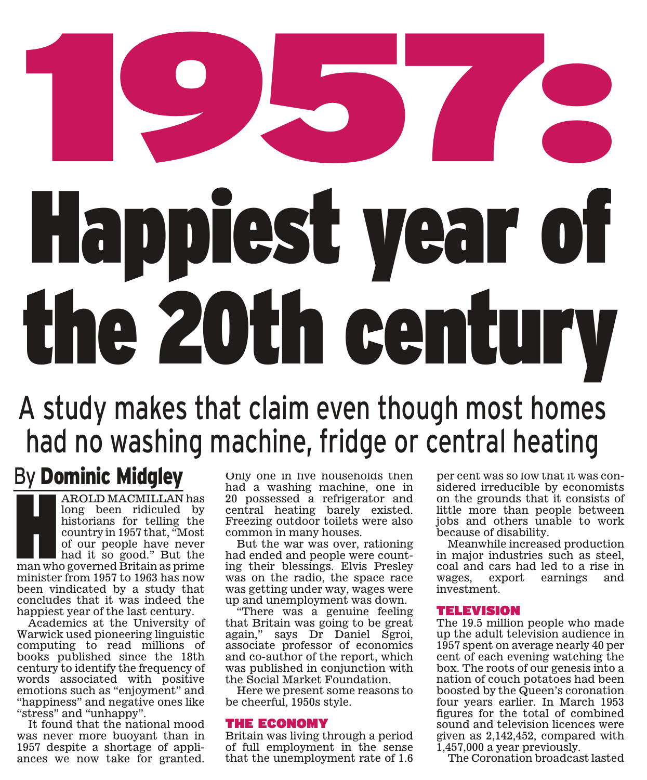# **(1,0,0,0,0)**<br>Uanniest vear of Happiest year of the 20th century

# A study makes that claim even though most homes had no washing machine, fridge or central heating

## By Dominic Midgley

AROLD MACMILLAN has<br>long been ridiculed by<br>historians for telling the<br>country in 1957 that, "Most<br>of our people have never<br>had it so good." But the<br>man who governed Britain as prime<br>minister from 1957 to 1963 be pow long been ridiculed by historians for telling the country in 1957 that, "Most of our people have never had it so good." But the man who governed Britain as prime minister from 1957 to 1963 has now been vindicated by a study that concludes that it was indeed the happiest year of the last century.

Academics at the University of Warwick used pioneering linguistic computing to read millions of books published since the 18th century to identify the frequency of words associated with positive emotions such as "enjoyment" and "happiness" and negative ones like "stress" and "unhappy".

It found that the national mood was never more buoyant than in 1957 despite a shortage of appliances we now take for granted. Only one in five households then had a washing machine, one in 20 possessed a refrigerator and central heating barely existed. Freezing outdoor toilets were also common in many houses.

But the war was over, rationing had ended and people were counting their blessings. Elvis Presley was on the radio, the space race was getting under way, wages were up and unemployment was down.

"There was a genuine feeling that Britain was going to be great again," says Dr Daniel Sgroi, associate professor of economics and co-author of the report, which was published in conjunction with the Social Market Foundation.

Here we present some reasons to be cheerful, 1950s style.

### THE ECONOMY

Britain was living through a period of full employment in the sense that the unemployment rate of 1.6 per cent was so low that it was considered irreducible by economists on the grounds that it consists of little more than people between jobs and others unable to work because of disability.

Meanwhile increased production in major industries such as steel, coal and cars had led to a rise in wages, export earnings and investment.

### **TELEVISION**

The 19.5 million people who made up the adult television audience in 1957 spent on average nearly 40 per cent of each evening watching the box. The roots of our genesis into a nation of couch potatoes had been boosted by the Queen's coronation four years earlier. In March 1953 figures for the total of combined sound and television licences were given as 2,142,452, compared with 1,457,000 a year previously.

The Coronation broadcast lasted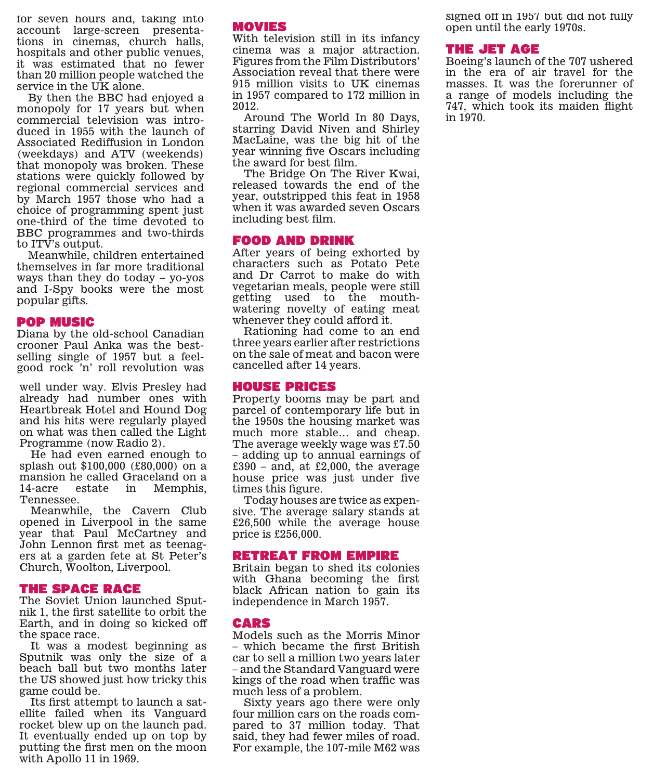for seven hours and, taking into account large-screen presentations in cinemas, church halls, hospitals and other public venues, it was estimated that no fewer than 20 million people watched the service in the UK alone.

By then the BBC had enjoyed a monopoly for 17 years but when commercial television was introduced in 1955 with the launch of Associated Rediffusion in London (weekdays) and ATV (weekends) that monopoly was broken. These stations were quickly followed by regional commercial services and by March 1957 those who had a choice of programming spent just one-third of the time devoted to BBC programmes and two-thirds to ITV's output.

Meanwhile, children entertained themselves in far more traditional ways than they do today – yo-yos and I-Spy books were the most popular gifts.

### **POP MUSIC**

Diana by the old-school Canadian crooner Paul Anka was the bestselling single of 1957 but a feelgood rock 'n' roll revolution was

well under way. Elvis Presley had already had number ones with Heartbreak Hotel and Hound Dog and his hits were regularly played on what was then called the Light Programme (now Radio 2).

He had even earned enough to splash out \$100,000 (£80,000) on a mansion he called Graceland on a 14-acre estate in Memphis, Tennessee.

Meanwhile, the Cavern Club opened in Liverpool in the same year that Paul McCartney and John Lennon first met as teenagers at a garden fete at St Peter's Church, Woolton, Liverpool.

### **THE SPACE RACE**

The Soviet Union launched Sputnik 1, the first satellite to orbit the Earth, and in doing so kicked off the space race.

It was a modest beginning as Sputnik was only the size of a beach ball but two months later the US showed just how tricky this game could be.

Its first attempt to launch a satellite failed when its Vanguard rocket blew up on the launch pad. It eventually ended up on top by putting the first men on the moon with Apollo 11 in 1969.

### **MOVIES**

With television still in its infancy cinema was a major attraction. Figures from the Film Distributors' Association reveal that there were 915 million visits to UK cinemas in 1957 compared to 172 million in 2012.

Around The World In 80 Days, starring David Niven and Shirley MacLaine, was the big hit of the year winning five Oscars including the award for best film.

The Bridge On The River Kwai, released towards the end of the year, outstripped this feat in 1958 when it was awarded seven Oscars including best film.

### **FOOD AND DRINK**

After years of being exhorted by characters such as Potato Pete and Dr Carrot to make do with vegetarian meals, people were still getting used to the mouthwatering novelty of eating meat whenever they could afford it.

Rationing had come to an end three years earlier after restrictions on the sale of meat and bacon were cancelled after 14 years.

### **HOUSE PRICES**

Property booms may be part and parcel of contemporary life but in the 1950s the housing market was much more stable… and cheap. The average weekly wage was £7.50 – adding up to annual earnings of  $£390 - and$ , at £2,000, the average house price was just under five times this figure.

Today houses are twice as expensive. The average salary stands at £26,500 while the average house price is £256,000.

### **RETREAT FROM EMPIRE**

Britain began to shed its colonies with Ghana becoming the first black African nation to gain its independence in March 1957.

### **CARS**

Models such as the Morris Minor – which became the first British car to sell a million two years later – and the Standard Vanguard were kings of the road when traffic was much less of a problem.

Sixty years ago there were only four million cars on the roads compared to 37 million today. That said, they had fewer miles of road. For example, the 107-mile M62 was

signed off in 1957 but did not fully open until the early 1970s.

### THE JET AGE

Boeing's launch of the 707 ushered in the era of air travel for the masses. It was the forerunner of a range of models including the 747, which took its maiden flight in 1970.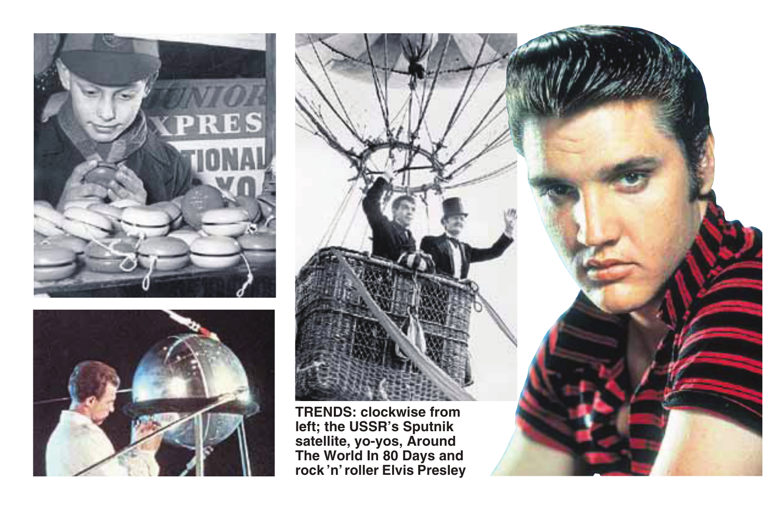



**TRENDS: clockwise from left; the USSR's Sputnik satellite, yo-yos, Around The World In 80 Days and rock 'n' roller Elvis Presley**